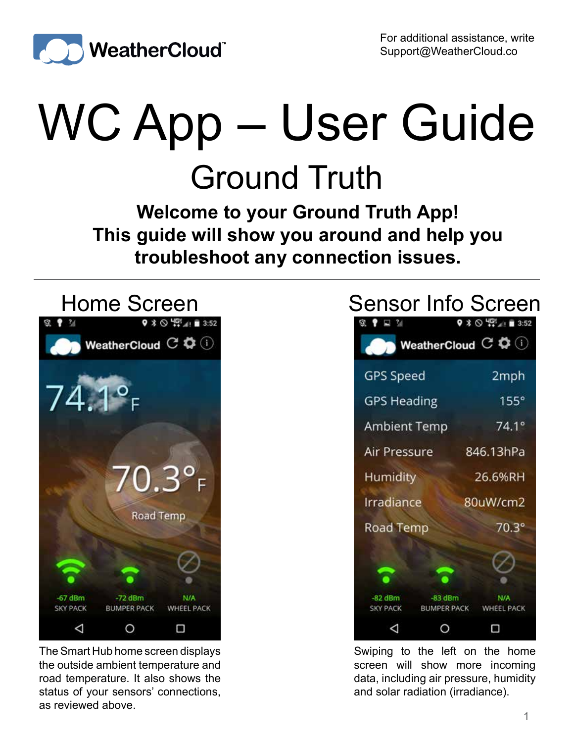

## WC App – User Guide Ground Truth

**Welcome to your Ground Truth App! This guide will show you around and help you troubleshoot any connection issues.**



The Smart Hub home screen displays the outside ambient temperature and road temperature. It also shows the status of your sensors' connections, as reviewed above.

## Sensor Info Screen



Swiping to the left on the home screen will show more incoming data, including air pressure, humidity and solar radiation (irradiance).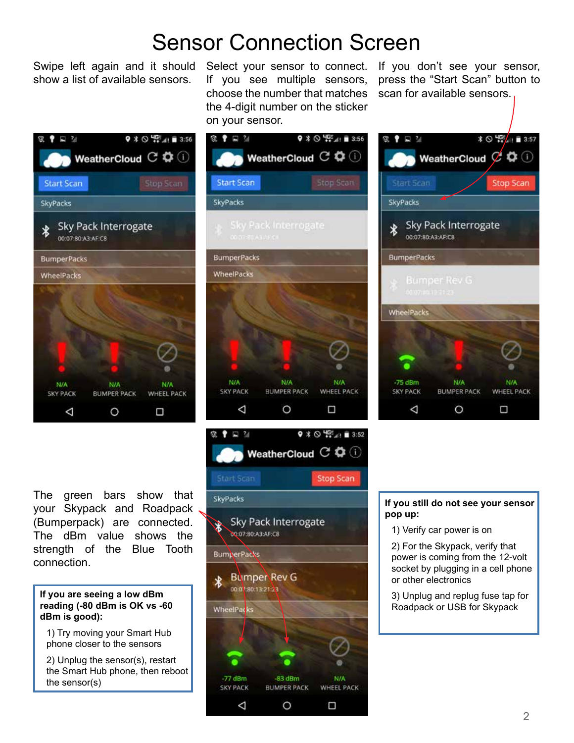## Sensor Connection Screen

show a list of available sensors.

Swipe left again and it should Select your sensor to connect. If you don't see your sensor, If you see multiple sensors, choose the number that matches the 4-digit number on the sticker on your sensor.

press the "Start Scan" button to scan for available sensors.

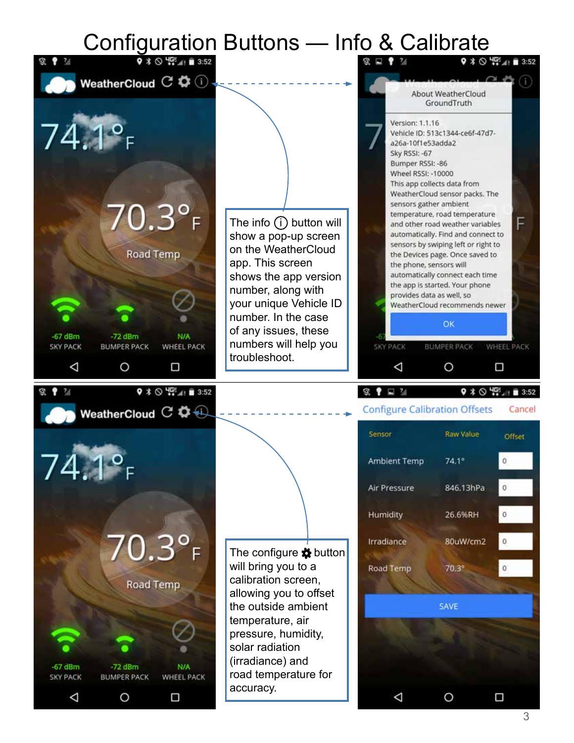